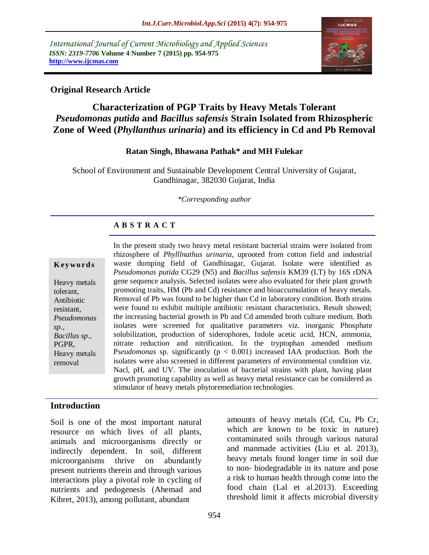*International Journal of Current Microbiology and Applied Sciences ISSN: 2319-7706* **Volume 4 Number 7 (2015) pp. 954-975 http://www.ijcmas.com** 



# **Original Research Article**

# **Characterization of PGP Traits by Heavy Metals Tolerant**  *Pseudomonas putida* **and** *Bacillus safensis* **Strain Isolated from Rhizospheric Zone of Weed (***Phyllanthus urinaria***) and its efficiency in Cd and Pb Removal**

#### **Ratan Singh, Bhawana Pathak\* and MH Fulekar**

School of Environment and Sustainable Development Central University of Gujarat, Gandhinagar, 382030 Gujarat, India

*\*Corresponding author*

#### **A B S T R A C T**

#### **K ey w o rd s**

Heavy metals tolerant, Antibiotic resistant, *Pseudomonas sp., Bacillus sp.,* PGPR, Heavy metals removal

In the present study two heavy metal resistant bacterial strains were isolated from rhizosphere of *Phylllnathus urinaria*, uprooted from cotton field and industrial waste dumping field of Gandhinagar, Gujarat. Isolate were identified as *Pseudomonas putida* CG29 (N5) and *Bacillus safensis* KM39 (LT) by 16S rDNA gene sequence analysis. Selected isolates were also evaluated for their plant growth promoting traits, HM (Pb and Cd) resistance and bioaccumulation of heavy metals. Removal of Pb was found to be higher than Cd in laboratory condition. Both strains were found to exhibit multiple antibiotic resistant characteristics. Result showed; the increasing bacterial growth in Pb and Cd amended broth culture medium. Both isolates were screened for qualitative parameters viz. inorganic Phosphate solubilization, production of siderophores, Indole acetic acid, HCN, ammonia, nitrate reduction and nitrification. In the tryptophan amended medium P*seudomonas* sp. significantly ( $p < 0.001$ ) increased IAA production. Both the isolates were also screened in different parameters of environmental condition viz. Nacl, pH, and UV. The inoculation of bacterial strains with plant, having plant growth promoting capability as well as heavy metal resistance can be considered as stimulator of heavy metals phytoremediation technologies.

### **Introduction**

Soil is one of the most important natural resource on which lives of all plants, animals and microorganisms directly or indirectly dependent. In soil, different microorganisms thrive on abundantly present nutrients therein and through various interactions play a pivotal role in cycling of nutrients and pedogenesis (Ahemad and Kibret, 2013), among pollutant, abundant

amounts of heavy metals (Cd, Cu, Pb Cr, which are known to be toxic in nature) contaminated soils through various natural and manmade activities (Liu et al. 2013), heavy metals found longer time in soil due to non- biodegradable in its nature and pose a risk to human health through come into the food chain (Lal et al.2013). Exceeding threshold limit it affects microbial diversity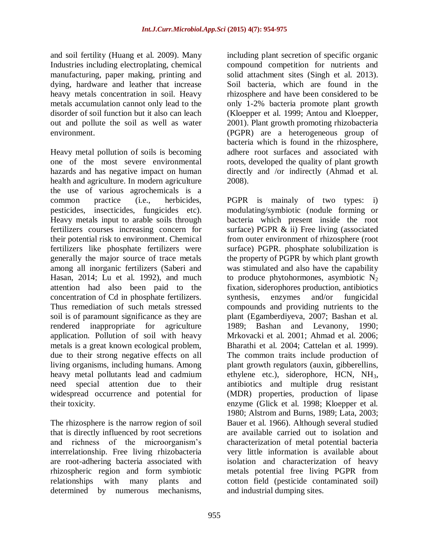and soil fertility (Huang et al. 2009). Many Industries including electroplating, chemical manufacturing, paper making, printing and dying, hardware and leather that increase heavy metals concentration in soil. Heavy metals accumulation cannot only lead to the disorder of soil function but it also can leach out and pollute the soil as well as water environment.

Heavy metal pollution of soils is becoming one of the most severe environmental hazards and has negative impact on human health and agriculture. In modern agriculture the use of various agrochemicals is a common practice (i.e., herbicides, pesticides, insecticides, fungicides etc). Heavy metals input to arable soils through fertilizers courses increasing concern for their potential risk to environment. Chemical fertilizers like phosphate fertilizers were generally the major source of trace metals among all inorganic fertilizers (Saberi and Hasan, 2014; Lu et al. 1992), and much attention had also been paid to the concentration of Cd in phosphate fertilizers. Thus remediation of such metals stressed soil is of paramount significance as they are rendered inappropriate for agriculture application. Pollution of soil with heavy metals is a great known ecological problem, due to their strong negative effects on all living organisms, including humans. Among heavy metal pollutants lead and cadmium need special attention due to their widespread occurrence and potential for their toxicity.

The rhizosphere is the narrow region of soil that is directly influenced by root secretions and richness of the microorganism's interrelationship. Free living rhizobacteria are root-adhering bacteria associated with rhizospheric region and form symbiotic relationships with many plants and determined by numerous mechanisms,

including plant secretion of specific organic compound competition for nutrients and solid attachment sites (Singh et al. 2013). Soil bacteria, which are found in the rhizosphere and have been considered to be only 1-2% bacteria promote plant growth (Kloepper et al. 1999; Antou and Kloepper, 2001). Plant growth promoting rhizobacteria (PGPR) are a heterogeneous group of bacteria which is found in the rhizosphere, adhere root surfaces and associated with roots, developed the quality of plant growth directly and /or indirectly (Ahmad et al. 2008).

PGPR is mainaly of two types: i) modulating/symbiotic (nodule forming or bacteria which present inside the root surface) PGPR & ii) Free living (associated from outer environment of rhizosphere (root surface) PGPR. phosphate solubilization is the property of PGPR by which plant growth was stimulated and also have the capability to produce phytohormones, asymbiotic  $N_2$ fixation, siderophores production, antibiotics synthesis, enzymes and/or fungicidal compounds and providing nutrients to the plant (Egamberdiyeva, 2007; Bashan et al. 1989; Bashan and Levanony, 1990; Mrkovacki et al. 2001; Ahmad et al. 2006; Bharathi et al. 2004; Cattelan et al. 1999). The common traits include production of plant growth regulators (auxin, gibberellins, ethylene etc.), siderophore, HCN, NH3, antibiotics and multiple drug resistant (MDR) properties, production of lipase enzyme (Glick et al. 1998; Kloepper et al. 1980; Alstrom and Burns, 1989; Lata, 2003; Bauer et al. 1966). Although several studied are available carried out to isolation and characterization of metal potential bacteria very little information is available about isolation and characterization of heavy metals potential free living PGPR from cotton field (pesticide contaminated soil) and industrial dumping sites.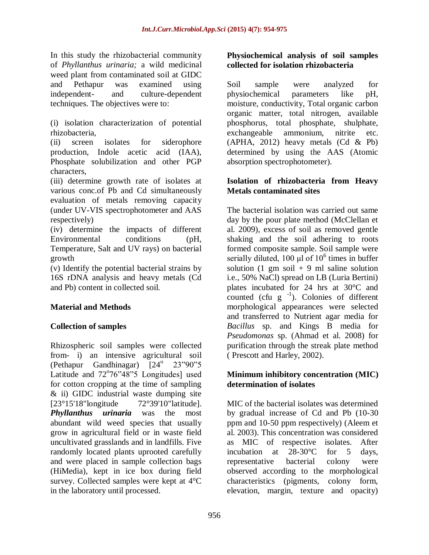In this study the rhizobacterial community of *Phyllanthus urinaria;* a wild medicinal weed plant from contaminated soil at GIDC and Pethapur was examined using independent- and culture-dependent techniques. The objectives were to:

(i) isolation characterization of potential rhizobacteria,

(ii) screen isolates for siderophore production, Indole acetic acid (IAA), Phosphate solubilization and other PGP characters,

(iii) determine growth rate of isolates at various conc.of Pb and Cd simultaneously evaluation of metals removing capacity (under UV-VIS spectrophotometer and AAS respectively)

(iv) determine the impacts of different Environmental conditions (pH, Temperature, Salt and UV rays) on bacterial growth

(v) Identify the potential bacterial strains by 16S rDNA analysis and heavy metals (Cd and Pb) content in collected soil.

# **Material and Methods**

# **Collection of samples**

Rhizospheric soil samples were collected from- i) an intensive agricultural soil (Pethapur Gandhinagar)  $124^{\circ}$   $23^{\circ}90^{\circ}5$ Latitude and 72°76"48"5 Longitudes] used for cotton cropping at the time of sampling & ii) GIDC industrial waste dumping site [23°15'18"longitude 72°39'10"latitude]. *Phyllanthus urinaria* was the most abundant wild weed species that usually grow in agricultural field or in waste field uncultivated grasslands and in landfills. Five randomly located plants uprooted carefully and were placed in sample collection bags (HiMedia), kept in ice box during field survey. Collected samples were kept at 4°C in the laboratory until processed.

### **Physiochemical analysis of soil samples collected for isolation rhizobacteria**

Soil sample were analyzed for physiochemical parameters like pH, moisture, conductivity, Total organic carbon organic matter, total nitrogen, available phosphorus, total phosphate, shulphate, exchangeable ammonium, nitrite etc.  $(APHA, 2012)$  heavy metals  $(Cd \& Pb)$ determined by using the AAS (Atomic absorption spectrophotometer).

# **Isolation of rhizobacteria from Heavy Metals contaminated sites**

The bacterial isolation was carried out same day by the pour plate method (McClellan et al. 2009), excess of soil as removed gentle shaking and the soil adhering to roots formed composite sample. Soil sample were serially diluted, 100  $\mu$ l of 10<sup>6</sup> times in buffer solution  $(1 \text{ gm soil} + 9 \text{ ml saline solution})$ i.e., 50% NaCl) spread on LB (Luria Bertini) plates incubated for 24 hrs at 30°C and counted (cfu  $g^{-1}$ ). Colonies of different morphological appearances were selected and transferred to Nutrient agar media for *Bacillus* sp. and Kings B media for *Pseudomonas* sp. (Ahmad et al. 2008) for purification through the streak plate method ( Prescott and Harley, 2002).

### **Minimum inhibitory concentration (MIC) determination of isolates**

MIC of the bacterial isolates was determined by gradual increase of Cd and Pb (10-30 ppm and 10-50 ppm respectively) (Aleem et al. 2003). This concentration was considered as MIC of respective isolates. After incubation at 28-30°C for 5 days, representative bacterial colony were observed according to the morphological characteristics (pigments, colony form, elevation, margin, texture and opacity)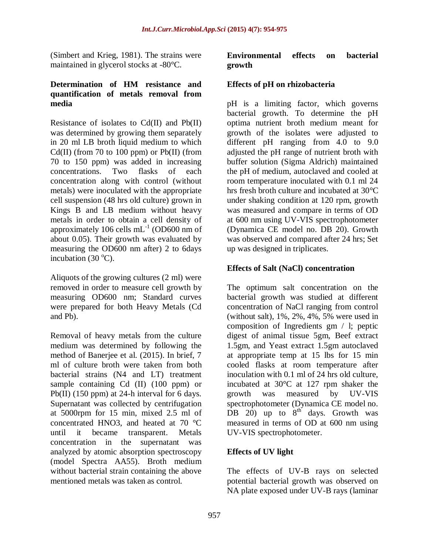(Simbert and Krieg, 1981). The strains were maintained in glycerol stocks at -80°C.

#### **Determination of HM resistance and quantification of metals removal from media**

Resistance of isolates to Cd(II) and Pb(II) was determined by growing them separately in 20 ml LB broth liquid medium to which  $Cd(II)$  (from 70 to 100 ppm) or  $Pb(II)$  (from 70 to 150 ppm) was added in increasing concentrations. Two flasks of each concentration along with control (without metals) were inoculated with the appropriate cell suspension (48 hrs old culture) grown in Kings B and LB medium without heavy metals in order to obtain a cell density of approximately 106 cells  $mL^{-1}$  (OD600 nm of about 0.05). Their growth was evaluated by measuring the OD600 nm after) 2 to 6days incubation (30 $^{\circ}$ C).

Aliquots of the growing cultures (2 ml) were removed in order to measure cell growth by measuring OD600 nm; Standard curves were prepared for both Heavy Metals (Cd and Pb).

Removal of heavy metals from the culture medium was determined by following the method of Banerjee et al. (2015). In brief, 7 ml of culture broth were taken from both bacterial strains (N4 and LT) treatment sample containing Cd (II) (100 ppm) or Pb(II) (150 ppm) at 24-h interval for 6 days. Supernatant was collected by centrifugation at 5000rpm for 15 min, mixed 2.5 ml of concentrated HNO3, and heated at 70 °C until it became transparent. Metals concentration in the supernatant was analyzed by atomic absorption spectroscopy (model Spectra AA55). Broth medium without bacterial strain containing the above mentioned metals was taken as control.

# **Environmental effects on bacterial growth**

# **Effects of pH on rhizobacteria**

pH is a limiting factor, which governs bacterial growth. To determine the pH optima nutrient broth medium meant for growth of the isolates were adjusted to different pH ranging from 4.0 to 9.0 adjusted the pH range of nutrient broth with buffer solution (Sigma Aldrich) maintained the pH of medium, autoclaved and cooled at room temperature inoculated with 0.1 ml 24 hrs fresh broth culture and incubated at 30°C under shaking condition at 120 rpm, growth was measured and compare in terms of OD at 600 nm using UV-VIS spectrophotometer (Dynamica CE model no. DB 20). Growth was observed and compared after 24 hrs; Set up was designed in triplicates.

# **Effects of Salt (NaCl) concentration**

The optimum salt concentration on the bacterial growth was studied at different concentration of NaCl ranging from control (without salt), 1%, 2%, 4%, 5% were used in composition of Ingredients gm / l; peptic digest of animal tissue 5gm, Beef extract 1.5gm, and Yeast extract 1.5gm autoclaved at appropriate temp at 15 lbs for 15 min cooled flasks at room temperature after inoculation with 0.1 ml of 24 hrs old culture, incubated at 30°C at 127 rpm shaker the growth was measured by UV-VIS spectrophotometer (Dynamica CE model no. DB 20) up to  $8^{th}$  days. Growth was measured in terms of OD at 600 nm using UV-VIS spectrophotometer.

### **Effects of UV light**

The effects of UV-B rays on selected potential bacterial growth was observed on NA plate exposed under UV-B rays (laminar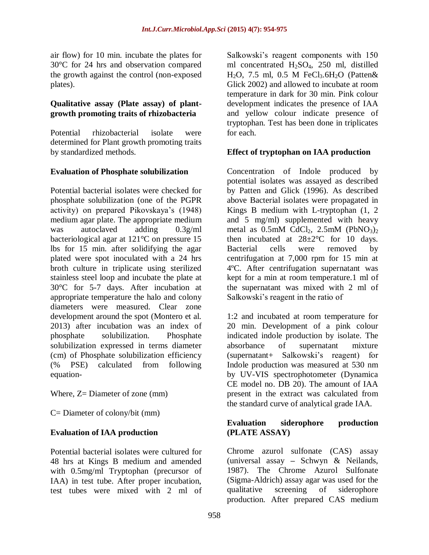air flow) for 10 min. incubate the plates for 30°C for 24 hrs and observation compared the growth against the control (non-exposed plates).

#### **Qualitative assay (Plate assay) of plantgrowth promoting traits of rhizobacteria**

Potential rhizobacterial isolate were determined for Plant growth promoting traits by standardized methods.

# **Evaluation of Phosphate solubilization**

Potential bacterial isolates were checked for phosphate solubilization (one of the PGPR activity) on prepared Pikovskaya's (1948) medium agar plate. The appropriate medium was autoclaved adding 0.3g/ml bacteriological agar at 121°C on pressure 15 lbs for 15 min. after solidifying the agar plated were spot inoculated with a 24 hrs broth culture in triplicate using sterilized stainless steel loop and incubate the plate at 30°C for 5-7 days. After incubation at appropriate temperature the halo and colony diameters were measured. Clear zone development around the spot (Montero et al. 2013) after incubation was an index of phosphate solubilization. Phosphate solubilization expressed in terms diameter (cm) of Phosphate solubilization efficiency (% PSE) calculated from following equation-

Where,  $Z =$  Diameter of zone (mm)

C= Diameter of colony/bit (mm)

### **Evaluation of IAA production**

Potential bacterial isolates were cultured for 48 hrs at Kings B medium and amended with 0.5mg/ml Tryptophan (precursor of IAA) in test tube. After proper incubation, test tubes were mixed with 2 ml of Salkowski's reagent components with 150 ml concentrated H2SO4, 250 ml, distilled H<sub>2</sub>O, 7.5 ml, 0.5 M FeCl<sub>3</sub>.6H<sub>2</sub>O (Patten& Glick 2002) and allowed to incubate at room temperature in dark for 30 min. Pink colour development indicates the presence of IAA and yellow colour indicate presence of tryptophan. Test has been done in triplicates for each.

# **Effect of tryptophan on IAA production**

Concentration of Indole produced by potential isolates was assayed as described by Patten and Glick (1996). As described above Bacterial isolates were propagated in Kings B medium with L-tryptophan (1, 2 and 5 mg/ml) supplemented with heavy metal as  $0.5$ mM CdCl<sub>2</sub>,  $2.5$ mM (PbNO<sub>3</sub>)<sub>2</sub> then incubated at  $28 \pm 2^{\circ}$ C for 10 days. Bacterial cells were removed by centrifugation at 7,000 rpm for 15 min at 4ºC. After centrifugation supernatant was kept for a min at room temperature.1 ml of the supernatant was mixed with 2 ml of Salkowski's reagent in the ratio of

1:2 and incubated at room temperature for 20 min. Development of a pink colour indicated indole production by isolate. The absorbance of supernatant mixture (supernatant+ Salkowski's reagent) for Indole production was measured at 530 nm by UV-VIS spectrophotometer (Dynamica CE model no. DB 20). The amount of IAA present in the extract was calculated from the standard curve of analytical grade IAA.

### **Evaluation siderophore production (PLATE ASSAY)**

Chrome azurol sulfonate (CAS) assay (universal assay **–** Schwyn & Neilands, 1987). The Chrome Azurol Sulfonate (Sigma-Aldrich) assay agar was used for the qualitative screening of siderophore production. After prepared CAS medium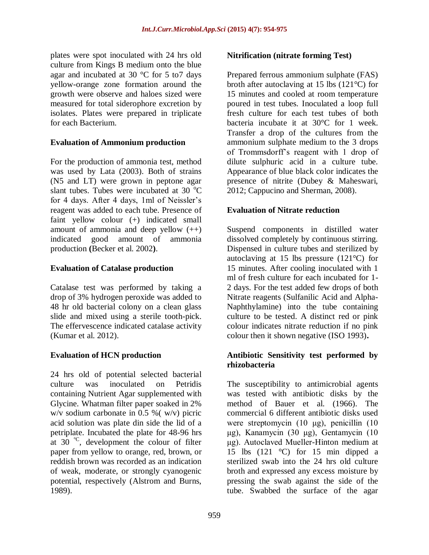plates were spot inoculated with 24 hrs old culture from Kings B medium onto the blue agar and incubated at 30 °C for 5 to7 days yellow-orange zone formation around the growth were observe and haloes sized were measured for total siderophore excretion by isolates. Plates were prepared in triplicate for each Bacterium.

### **Evaluation of Ammonium production**

For the production of ammonia test, method was used by Lata (2003). Both of strains (N5 and LT) were grown in peptone agar slant tubes. Tubes were incubated at  $30^{\circ}$ C for 4 days. After 4 days, 1ml of Neissler's reagent was added to each tube. Presence of faint yellow colour (+) indicated small amount of ammonia and deep yellow  $(++)$ indicated good amount of ammonia production **(**Becker et al. 2002**)**.

# **Evaluation of Catalase production**

Catalase test was performed by taking a drop of 3% hydrogen peroxide was added to 48 hr old bacterial colony on a clean glass slide and mixed using a sterile tooth-pick. The effervescence indicated catalase activity (Kumar et al. 2012).

# **Evaluation of HCN production**

24 hrs old of potential selected bacterial culture was inoculated on Petridis containing Nutrient Agar supplemented with Glycine. Whatman filter paper soaked in 2% w/v sodium carbonate in 0.5 %( w/v) picric acid solution was plate din side the lid of a petriplate. Incubated the plate for 48-96 hrs at  $30^{\circ}$ C, development the colour of filter paper from yellow to orange, red, brown, or reddish brown was recorded as an indication of weak, moderate, or strongly cyanogenic potential, respectively (Alstrom and Burns, 1989).

### **Nitrification (nitrate forming Test)**

Prepared ferrous ammonium sulphate (FAS) broth after autoclaving at 15 lbs (121°C) for 15 minutes and cooled at room temperature poured in test tubes. Inoculated a loop full fresh culture for each test tubes of both bacteria incubate it at 30°C for 1 week. Transfer a drop of the cultures from the ammonium sulphate medium to the 3 drops of Trommsdorff's reagent with 1 drop of dilute sulphuric acid in a culture tube. Appearance of blue black color indicates the presence of nitrite (Dubey & Maheswari, 2012; Cappucino and Sherman, 2008).

# **Evaluation of Nitrate reduction**

Suspend components in distilled water dissolved completely by continuous stirring. Dispensed in culture tubes and sterilized by autoclaving at 15 lbs pressure (121°C) for 15 minutes. After cooling inoculated with 1 ml of fresh culture for each incubated for 1- 2 days. For the test added few drops of both Nitrate reagents (Sulfanilic Acid and Alpha-Naphthylamine) into the tube containing culture to be tested. A distinct red or pink colour indicates nitrate reduction if no pink colour then it shown negative (ISO 1993)**.**

### **Antibiotic Sensitivity test performed by rhizobacteria**

The susceptibility to antimicrobial agents was tested with antibiotic disks by the method of Bauer et al. (1966). The commercial 6 different antibiotic disks used were streptomycin (10 μg), penicillin (10 μg), Kanamycin (30 μg), Gentamycin (10 μg). Autoclaved Mueller-Hinton medium at 15 lbs  $(121 \degree C)$  for 15 min dipped a sterilized swab into the 24 hrs old culture broth and expressed any excess moisture by pressing the swab against the side of the tube. Swabbed the surface of the agar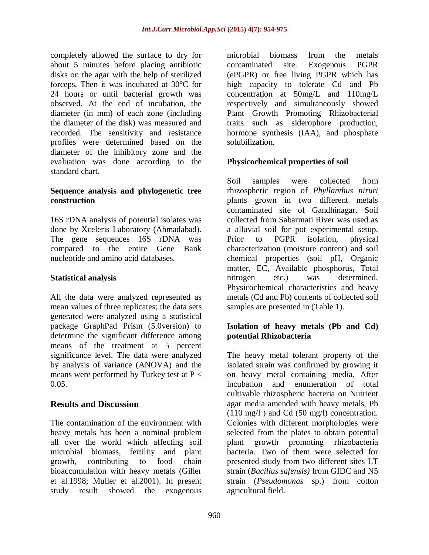completely allowed the surface to dry for about 5 minutes before placing antibiotic disks on the agar with the help of sterilized forceps. Then it was incubated at 30°C for 24 hours or until bacterial growth was observed. At the end of incubation, the diameter (in mm) of each zone (including the diameter of the disk) was measured and recorded. The sensitivity and resistance profiles were determined based on the diameter of the inhibitory zone and the evaluation was done according to the standard chart.

### **Sequence analysis and phylogenetic tree construction**

16S rDNA analysis of potential isolates was done by Xceleris Laboratory (Ahmadabad). The gene sequences 16S rDNA was compared to the entire Gene Bank nucleotide and amino acid databases.

### **Statistical analysis**

All the data were analyzed represented as mean values of three replicates; the data sets generated were analyzed using a statistical package GraphPad Prism (5.0version) to determine the significant difference among means of the treatment at 5 percent significance level. The data were analyzed by analysis of variance (ANOVA) and the means were performed by Turkey test at  $P <$ 0.05.

# **Results and Discussion**

The contamination of the environment with heavy metals has been a nominal problem all over the world which affecting soil microbial biomass, fertility and plant growth, contributing to food chain bioaccumulation with heavy metals (Giller et al.1998; Muller et al.2001). In present study result showed the exogenous

microbial biomass from the metals contaminated site. Exogenous PGPR (ePGPR) or free living PGPR which has high capacity to tolerate Cd and Pb concentration at 50mg/L and 110mg/L respectively and simultaneously showed Plant Growth Promoting Rhizobacterial traits such as siderophore production, hormone synthesis (IAA), and phosphate solubilization.

# **Physicochemical properties of soil**

Soil samples were collected from rhizospheric region of *Phyllanthus niruri* plants grown in two different metals contaminated site of Gandhinagar. Soil collected from Sabarmati River was used as a alluvial soil for pot experimental setup. Prior to PGPR isolation, physical characterization (moisture content) and soil chemical properties (soil pH, Organic matter, EC, Available phosphorus, Total nitrogen etc.) was determined. Physicochemical characteristics and heavy metals (Cd and Pb) contents of collected soil samples are presented in (Table 1).

# **Isolation of heavy metals (Pb and Cd) potential Rhizobacteria**

The heavy metal tolerant property of the isolated strain was confirmed by growing it on heavy metal containing media. After incubation and enumeration of total cultivable rhizospheric bacteria on Nutrient agar media amended with heavy metals, Pb  $(110 \text{ mg/l})$  and Cd  $(50 \text{ mg/l})$  concentration. Colonies with different morphologies were selected from the plates to obtain potential plant growth promoting rhizobacteria bacteria. Two of them were selected for presented study from two different sites LT strain (*Bacillus safensis)* from GIDC and N5 strain (*Pseudomonas* sp.) from cotton agricultural field.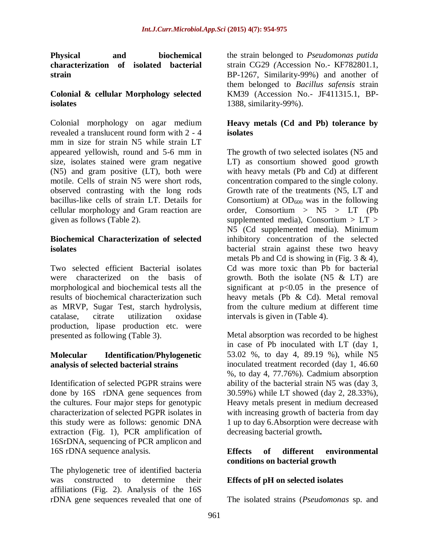**Physical and biochemical characterization of isolated bacterial strain**

### **Colonial & cellular Morphology selected isolates**

Colonial morphology on agar medium revealed a translucent round form with 2 - 4 mm in size for strain N5 while strain LT appeared yellowish, round and 5-6 mm in size, isolates stained were gram negative (N5) and gram positive (LT), both were motile. Cells of strain N5 were short rods, observed contrasting with the long rods bacillus-like cells of strain LT. Details for cellular morphology and Gram reaction are given as follows (Table 2).

### **Biochemical Characterization of selected isolates**

Two selected efficient Bacterial isolates were characterized on the basis of morphological and biochemical tests all the results of biochemical characterization such as MRVP, Sugar Test, starch hydrolysis, catalase, citrate utilization oxidase catalase, citrate utilization production, lipase production etc. were presented as following (Table 3).

# **Molecular Identification/Phylogenetic analysis of selected bacterial strains**

Identification of selected PGPR strains were done by 16S rDNA gene sequences from the cultures. Four major steps for genotypic characterization of selected PGPR isolates in this study were as follows: genomic DNA extraction (Fig. 1), PCR amplification of 16SrDNA, sequencing of PCR amplicon and 16S rDNA sequence analysis.

The phylogenetic tree of identified bacteria was constructed to determine their affiliations (Fig. 2). Analysis of the 16S rDNA gene sequences revealed that one of

the strain belonged to *Pseudomonas putida*  strain CG29 *(*Accession No.- KF782801.1, BP-1267, Similarity-99%) and another of them belonged to *Bacillus safensis* strain KM39 (Accession No.- JF411315.1, BP-1388, similarity-99%).

### **Heavy metals (Cd and Pb) tolerance by isolates**

The growth of two selected isolates (N5 and LT) as consortium showed good growth with heavy metals (Pb and Cd) at different concentration compared to the single colony. Growth rate of the treatments (N5, LT and Consortium) at  $OD_{600}$  was in the following order, Consortium > N5 > LT (Pb supplemented media), Consortium  $> LT$ N5 (Cd supplemented media). Minimum inhibitory concentration of the selected bacterial strain against these two heavy metals Pb and Cd is showing in (Fig.  $3 \& 4$ ), Cd was more toxic than Pb for bacterial growth. Both the isolate  $(N5 \& LT)$  are significant at  $p<0.05$  in the presence of heavy metals (Pb & Cd). Metal removal from the culture medium at different time intervals is given in (Table 4).

Metal absorption was recorded to be highest in case of Pb inoculated with LT (day 1, 53.02 %, to day 4, 89.19 %), while N5 inoculated treatment recorded (day 1, 46.60 %, to day 4, 77.76%). Cadmium absorption ability of the bacterial strain N5 was (day 3, 30.59%) while LT showed (day 2, 28.33%), Heavy metals present in medium decreased with increasing growth of bacteria from day 1 up to day 6.Absorption were decrease with decreasing bacterial growth**.**

# **Effects of different environmental conditions on bacterial growth**

# **Effects of pH on selected isolates**

The isolated strains (*Pseudomonas* sp. and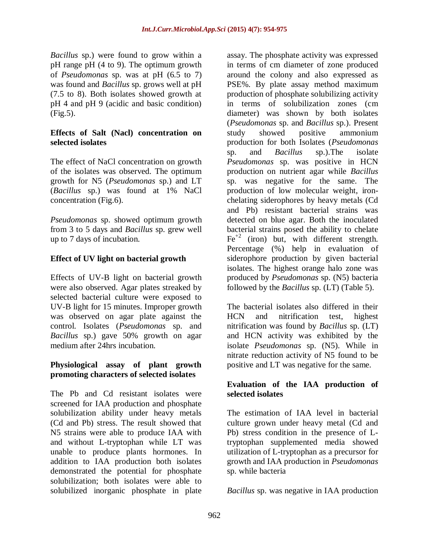*Bacillus* sp.) were found to grow within a pH range pH (4 to 9). The optimum growth of *Pseudomonas* sp. was at pH (6.5 to 7) was found and *Bacillus* sp. grows well at pH (7.5 to 8). Both isolates showed growth at pH 4 and pH 9 (acidic and basic condition) (Fig.5).

### **Effects of Salt (Nacl) concentration on selected isolates**

The effect of NaCl concentration on growth of the isolates was observed. The optimum growth for N5 (*Pseudomonas* sp.) and LT (*Bacillus* sp.) was found at 1% NaCl concentration (Fig.6).

*Pseudomonas* sp. showed optimum growth from 3 to 5 days and *Bacillus* sp. grew well up to 7 days of incubation.

# **Effect of UV light on bacterial growth**

Effects of UV-B light on bacterial growth were also observed. Agar plates streaked by selected bacterial culture were exposed to UV-B light for 15 minutes. Improper growth was observed on agar plate against the control. Isolates (*Pseudomonas* sp. and *Bacillus* sp.) gave 50% growth on agar medium after 24hrs incubation.

### **Physiological assay of plant growth promoting characters of selected isolates**

The Pb and Cd resistant isolates were screened for IAA production and phosphate solubilization ability under heavy metals (Cd and Pb) stress. The result showed that N5 strains were able to produce IAA with and without L-tryptophan while LT was unable to produce plants hormones. In addition to IAA production both isolates demonstrated the potential for phosphate solubilization; both isolates were able to solubilized inorganic phosphate in plate

assay. The phosphate activity was expressed in terms of cm diameter of zone produced around the colony and also expressed as PSE%. By plate assay method maximum production of phosphate solubilizing activity in terms of solubilization zones (cm diameter) was shown by both isolates (*Pseudomonas* sp. and *Bacillus* sp.). Present study showed positive ammonium production for both Isolates (*Pseudomonas* sp. and *Bacillus* sp.).The isolate *Pseudomonas* sp. was positive in HCN production on nutrient agar while *Bacillus* sp. was negative for the same. The production of low molecular weight, ironchelating siderophores by heavy metals (Cd and Pb) resistant bacterial strains was detected on blue agar. Both the inoculated bacterial strains posed the ability to chelate  $Fe<sup>+2</sup>$  (iron) but, with different strength. Percentage (%) help in evaluation of siderophore production by given bacterial isolates. The highest orange halo zone was produced by *Pseudomonas* sp. (N5) bacteria followed by the *Bacillus* sp. (LT) (Table 5).

The bacterial isolates also differed in their HCN and nitrification test, highest nitrification was found by *Bacillus* sp. (LT) and HCN activity was exhibited by the isolate *Pseudomonas* sp. (N5). While in nitrate reduction activity of N5 found to be positive and LT was negative for the same.

### **Evaluation of the IAA production of selected isolates**

The estimation of IAA level in bacterial culture grown under heavy metal (Cd and Pb) stress condition in the presence of Ltryptophan supplemented media showed utilization of L-tryptophan as a precursor for growth and IAA production in *Pseudomonas* sp. while bacteria

*Bacillus* sp. was negative in IAA production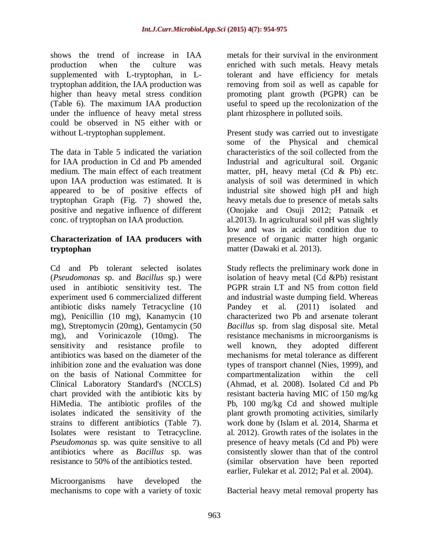shows the trend of increase in IAA production when the culture was supplemented with L-tryptophan, in Ltryptophan addition, the IAA production was higher than heavy metal stress condition (Table 6). The maximum IAA production under the influence of heavy metal stress could be observed in N5 either with or without L-tryptophan supplement.

The data in Table 5 indicated the variation for IAA production in Cd and Pb amended medium. The main effect of each treatment upon IAA production was estimated. It is appeared to be of positive effects of tryptophan Graph (Fig. 7) showed the, positive and negative influence of different conc. of tryptophan on IAA production.

### **Characterization of IAA producers with tryptophan**

Cd and Pb tolerant selected isolates (*Pseudomonas* sp. and *Bacillus* sp.) were used in antibiotic sensitivity test. The experiment used 6 commercialized different antibiotic disks namely Tetracycline (10 mg), Penicillin (10 mg), Kanamycin (10 mg), Streptomycin (20mg), Gentamycin (50 mg), and Vorinicazole (10mg). The sensitivity and resistance profile to antibiotics was based on the diameter of the inhibition zone and the evaluation was done on the basis of National Committee for Clinical Laboratory Standard's (NCCLS) chart provided with the antibiotic kits by HiMedia. The antibiotic profiles of the isolates indicated the sensitivity of the strains to different antibiotics (Table 7). Isolates were resistant to Tetracycline. *Pseudomonas* sp. was quite sensitive to all antibiotics where as *Bacillus* sp. was resistance to 50% of the antibiotics tested.

Microorganisms have developed the mechanisms to cope with a variety of toxic metals for their survival in the environment enriched with such metals. Heavy metals tolerant and have efficiency for metals removing from soil as well as capable for promoting plant growth (PGPR) can be useful to speed up the recolonization of the plant rhizosphere in polluted soils.

Present study was carried out to investigate some of the Physical and chemical characteristics of the soil collected from the Industrial and agricultural soil. Organic matter, pH, heavy metal  $(Cd \& Pb)$  etc. analysis of soil was determined in which industrial site showed high pH and high heavy metals due to presence of metals salts (Onojake and Osuji 2012; Patnaik et al.2013). In agricultural soil pH was slightly low and was in acidic condition due to presence of organic matter high organic matter (Dawaki et al. 2013).

Study reflects the preliminary work done in isolation of heavy metal (Cd &Pb) resistant PGPR strain LT and N5 from cotton field and industrial waste dumping field. Whereas Pandey et al. (2011) isolated and characterized two Pb and arsenate tolerant *Bacillus* sp. from slag disposal site. Metal resistance mechanisms in microorganisms is well known, they adopted different mechanisms for metal tolerance as different types of transport channel (Nies, 1999), and compartmentalization within the cell (Ahmad, et al. 2008). Isolated Cd and Pb resistant bacteria having MIC of 150 mg/kg Pb, 100 mg/kg Cd and showed multiple plant growth promoting activities, similarly work done by (Islam et al. 2014, Sharma et al. 2012). Growth rates of the isolates in the presence of heavy metals (Cd and Pb) were consistently slower than that of the control (similar observation have been reported earlier, Fulekar et al. 2012; Pal et al. 2004).

Bacterial heavy metal removal property has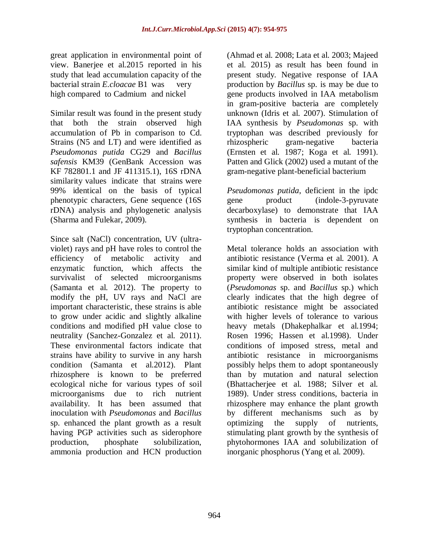great application in environmental point of view. Banerjee et al.2015 reported in his study that lead accumulation capacity of the bacterial strain *E.cloacae* B1 was very high compared to Cadmium and nickel

Similar result was found in the present study that both the strain observed high accumulation of Pb in comparison to Cd. Strains (N5 and LT) and were identified as *Pseudomonas putida* CG29 and *Bacillus safensis* KM39 (GenBank Accession was KF 782801.1 and JF 411315.1), 16S rDNA similarity values indicate that strains were 99% identical on the basis of typical phenotypic characters, Gene sequence (16S rDNA) analysis and phylogenetic analysis (Sharma and Fulekar, 2009).

Since salt (NaCl) concentration, UV (ultraviolet) rays and pH have roles to control the efficiency of metabolic activity and enzymatic function, which affects the survivalist of selected microorganisms (Samanta et al. 2012). The property to modify the pH, UV rays and NaCl are important characteristic, these strains is able to grow under acidic and slightly alkaline conditions and modified pH value close to neutrality (Sanchez-Gonzalez et al. 2011). These environmental factors indicate that strains have ability to survive in any harsh condition (Samanta et al.2012). Plant rhizosphere is known to be preferred ecological niche for various types of soil microorganisms due to rich nutrient availability. It has been assumed that inoculation with *Pseudomonas* and *Bacillus*  sp. enhanced the plant growth as a result having PGP activities such as siderophore production, phosphate solubilization, ammonia production and HCN production

964

(Ahmad et al. 2008; Lata et al. 2003; Majeed et al. 2015) as result has been found in present study. Negative response of IAA production by *Bacillus* sp. is may be due to gene products involved in IAA metabolism in gram-positive bacteria are completely unknown (Idris et al. 2007). Stimulation of IAA synthesis by *Pseudomonas* sp. with tryptophan was described previously for rhizospheric gram-negative bacteria (Ernsten et al. 1987; Koga et al. 1991). Patten and Glick (2002) used a mutant of the gram-negative plant-beneficial bacterium

*Pseudomonas putida*, deficient in the ipdc gene product (indole-3-pyruvate decarboxylase) to demonstrate that IAA synthesis in bacteria is dependent on tryptophan concentration.

Metal tolerance holds an association with antibiotic resistance (Verma et al. 2001). A similar kind of multiple antibiotic resistance property were observed in both isolates (*Pseudomonas* sp. and *Bacillus* sp.) which clearly indicates that the high degree of antibiotic resistance might be associated with higher levels of tolerance to various heavy metals (Dhakephalkar et al.1994; Rosen 1996; Hassen et al.1998). Under conditions of imposed stress, metal and antibiotic resistance in microorganisms possibly helps them to adopt spontaneously than by mutation and natural selection (Bhattacherjee et al. 1988; Silver et al. 1989). Under stress conditions, bacteria in rhizosphere may enhance the plant growth by different mechanisms such as by optimizing the supply of nutrients, stimulating plant growth by the synthesis of phytohormones IAA and solubilization of inorganic phosphorus (Yang et al. 2009).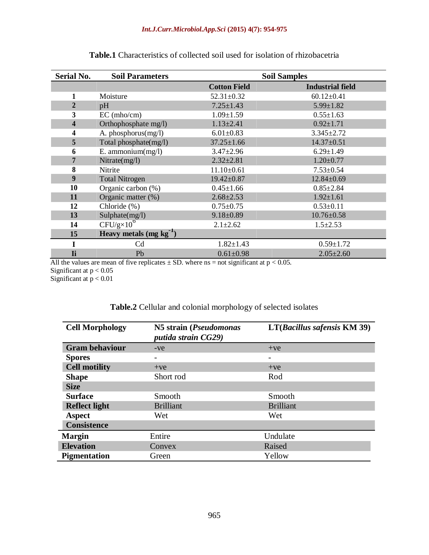| <b>Serial No.</b> | <b>Soil Parameters</b>   | <b>Soil Samples</b> |                         |  |
|-------------------|--------------------------|---------------------|-------------------------|--|
|                   |                          | <b>Cotton Field</b> | <b>Industrial field</b> |  |
| 1                 | Moisture                 | $52.31 \pm 0.32$    | $60.12 \pm 0.41$        |  |
| 2                 | pH                       | $7.25 \pm 1.43$     | $5.99 \pm 1.82$         |  |
| 3                 | EC (mho/cm)              | $1.09 \pm 1.59$     | $0.55 \pm 1.63$         |  |
| 4                 | Orthophosphate mg/l)     | $1.13 \pm 2.41$     | $0.92 \pm 1.71$         |  |
| 4                 | A. phosphorus(mg/l)      | $6.01 \pm 0.83$     | $3.345 \pm 2.72$        |  |
| 5                 | Total phosphate(mg/l)    | $37.25 \pm 1.66$    | $14.37 \pm 0.51$        |  |
| 6                 | E. ammonium $(mg/l)$     | $3.47 \pm 2.96$     | $6.29 \pm 1.49$         |  |
| 7                 | Nitrate $(mg/l)$         | $2.32 \pm 2.81$     | $1.20 \pm 0.77$         |  |
| 8                 | Nitrite                  | $11.10+0.61$        | $7.53 \pm 0.54$         |  |
| 9                 | <b>Total Nitrogen</b>    | $19.42 \pm 0.87$    | $12.84 \pm 0.69$        |  |
| 10                | Organic carbon (%)       | $0.45 \pm 1.66$     | $0.85 \pm 2.84$         |  |
| 11                | Organic matter (%)       | $2.68 \pm 2.53$     | $1.92 \pm 1.61$         |  |
| 12                | Chloride (%)             | $0.75 \pm 0.75$     | $0.53 \pm 0.11$         |  |
| 13                | Sulphate(mg/l)           | $9.18 \pm 0.89$     | $10.76 \pm 0.58$        |  |
| 14                | $CFU/g \times 10^6$      | $2.1 \pm 2.62$      | $1.5 \pm 2.53$          |  |
| 15                | Heavy metals $(mg kg-1)$ |                     |                         |  |
|                   | Cd                       | $1.82 \pm 1.43$     | $0.59 \pm 1.72$         |  |
| Ti                | Pb                       | $0.61 \pm 0.98$     | $2.05 \pm 2.60$         |  |

|  |  |  |  |  | <b>Table.1</b> Characteristics of collected soil used for isolation of rhizobacetria |
|--|--|--|--|--|--------------------------------------------------------------------------------------|
|--|--|--|--|--|--------------------------------------------------------------------------------------|

All the values are mean of five replicates  $\pm$  SD. where ns = not significant at p < 0.05. Significant at  $p < 0.05$ Significant at  $p < 0.01$ 

 $\overline{\phantom{0}}$ 

# **Table.2** Cellular and colonial morphology of selected isolates

| <b>Cell Morphology</b> | N5 strain (Pseudomonas<br>putida strain CG29) | $LT(Bacillus\ safensis\ KM\ 39)$ |
|------------------------|-----------------------------------------------|----------------------------------|
| <b>Gram behaviour</b>  | $-ve$                                         | $+ve$                            |
| <b>Spores</b>          |                                               |                                  |
| <b>Cell motility</b>   | $+ve$                                         | $+ve$                            |
| <b>Shape</b>           | Short rod                                     | Rod                              |
| <b>Size</b>            |                                               |                                  |
| <b>Surface</b>         | Smooth                                        | Smooth                           |
| <b>Reflect light</b>   | <b>Brilliant</b>                              | <b>Brilliant</b>                 |
| <b>Aspect</b>          | Wet                                           | Wet                              |
| <b>Consistence</b>     |                                               |                                  |
| <b>Margin</b>          | Entire                                        | Undulate                         |
| <b>Elevation</b>       | Convex                                        | Raised                           |
| <b>Pigmentation</b>    | Green                                         | Yellow                           |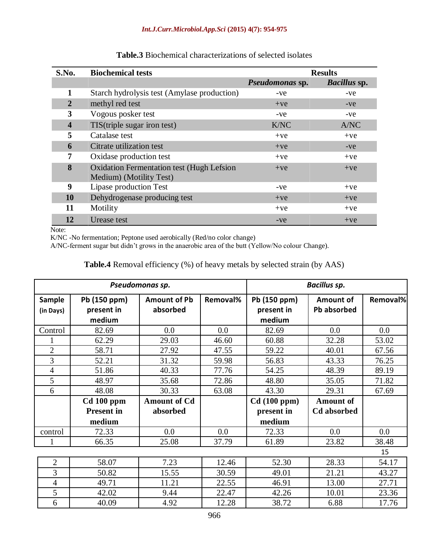| S.No.                   | <b>Biochemical tests</b>                         | <b>Results</b>  |                     |
|-------------------------|--------------------------------------------------|-----------------|---------------------|
|                         |                                                  | Pseudomonas sp. | <b>Bacillus</b> sp. |
| 1                       | Starch hydrolysis test (Amylase production)      | -ve             | -ve                 |
| $\overline{2}$          | methyl red test                                  | $+ve$           | $-ve$               |
| 3                       | Vogous posker test                               | -ve             | -ve                 |
| $\overline{\mathbf{4}}$ | TIS(triple sugar iron test)                      | K/NC            | A/NC                |
| 5                       | Catalase test                                    | $+ve$           | $+ve$               |
| 6                       | Citrate utilization test                         | $+ve$           | $-ve$               |
| 7                       | Oxidase production test                          | $+ve$           | $+ve$               |
| 8                       | <b>Oxidation Fermentation test (Hugh Lefsion</b> | $+ve$           | $+ve$               |
|                         | Medium) (Motility Test)                          |                 |                     |
| 9                       | Lipase production Test                           | -ve             | $+ve$               |
| 10                      | Dehydrogenase producing test                     | $+ve$           | $+ve$               |
| 11                      | Motility                                         | $+ve$           | $+ve$               |
| 12                      | Urease test                                      | $-ve$           | $+ve$               |

### **Table.3** Biochemical characterizations of selected isolates

Note:

K/NC -No fermentation; Peptone used aerobically (Red/no color change)

A/NC-ferment sugar but didn't grows in the anaerobic area of the butt (Yellow/No colour Change).

# **Table.4** Removal efficiency (%) of heavy metals by selected strain (by AAS)

| Pseudomonas sp.            |                                             |                                 | <b>Bacillus sp.</b> |                                      |                                        |          |
|----------------------------|---------------------------------------------|---------------------------------|---------------------|--------------------------------------|----------------------------------------|----------|
| <b>Sample</b><br>(in Days) | Pb (150 ppm)<br>present in<br>medium        | <b>Amount of Pb</b><br>absorbed | Removal%            | Pb (150 ppm)<br>present in<br>medium | Amount of<br>Pb absorbed               | Removal% |
| Control                    | 82.69                                       | 0.0                             | 0.0                 | 82.69                                | 0.0                                    | 0.0      |
|                            | 62.29                                       | 29.03                           | 46.60               | 60.88                                | 32.28                                  | 53.02    |
| $\overline{2}$             | 58.71                                       | 27.92                           | 47.55               | 59.22                                | 40.01                                  | 67.56    |
| 3                          | 52.21                                       | 31.32                           | 59.98               | 56.83                                | 43.33                                  | 76.25    |
| $\overline{4}$             | 51.86                                       | 40.33                           | 77.76               | 54.25                                | 48.39                                  | 89.19    |
| 5                          | 48.97                                       | 35.68                           | 72.86               | 48.80                                | 35.05                                  | 71.82    |
| 6                          | 48.08                                       | 30.33                           | 63.08               | 43.30                                | 29.31                                  | 67.69    |
|                            | $Cd$ 100 ppm<br><b>Present in</b><br>medium | <b>Amount of Cd</b><br>absorbed |                     | Cd(100 ppm)<br>present in<br>medium  | <b>Amount of</b><br><b>Cd</b> absorbed |          |
| control                    | 72.33                                       | 0.0                             | 0.0                 | 72.33                                | 0.0                                    | 0.0      |
|                            | 66.35                                       | 25.08                           | 37.79               | 61.89                                | 23.82                                  | 38.48    |
|                            |                                             |                                 |                     |                                      |                                        | 15       |
| $\overline{2}$             | 58.07                                       | 7.23                            | 12.46               | 52.30                                | 28.33                                  | 54.17    |
| 3                          | 50.82                                       | 15.55                           | 30.59               | 49.01                                | 21.21                                  | 43.27    |
| $\overline{4}$             | 49.71                                       | 11.21                           | 22.55               | 46.91                                | 13.00                                  | 27.71    |
| 5                          | 42.02                                       | 9.44                            | 22.47               | 42.26                                | 10.01                                  | 23.36    |
| 6                          | 40.09                                       | 4.92                            | 12.28               | 38.72                                | 6.88                                   | 17.76    |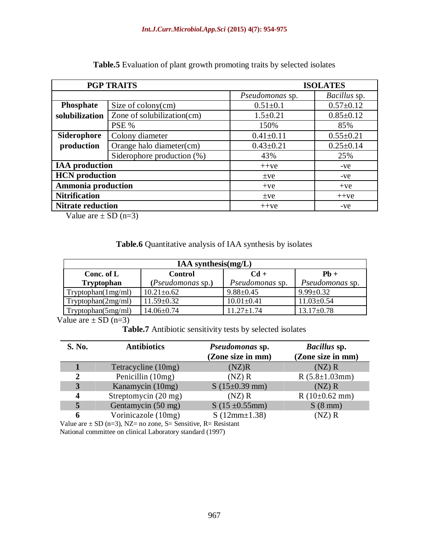| <b>PGP TRAITS</b>        |                                    | <b>ISOLATES</b>    |                 |
|--------------------------|------------------------------------|--------------------|-----------------|
|                          |                                    | Pseudomonas sp.    | Bacillus sp.    |
| Phosphate                | Size of $\text{colour}(cm)$        | $0.51 \pm 0.1$     | $0.57 \pm 0.12$ |
| solubilization           | Zone of solubilization(cm)         | $1.5 \pm 0.21$     | $0.85 \pm 0.12$ |
|                          | PSE %                              | 150%               | 85%             |
| <b>Siderophore</b>       | Colony diameter                    | $0.41 \pm 0.11$    | $0.55 \pm 0.21$ |
| production               | Orange halo diameter(cm)           | $0.43 \pm 0.21$    | $0.25 \pm 0.14$ |
|                          | Siderophore production $(\%)$      | 43%                | 25%             |
| <b>IAA</b> production    |                                    | $++ve$<br>$-ve$    |                 |
| <b>HCN</b> production    |                                    | $\pm$ ve<br>-ve    |                 |
|                          | <b>Ammonia production</b><br>$+ve$ |                    | $+ve$           |
| <b>Nitrification</b>     |                                    | $++ve$<br>$\pm$ ve |                 |
| <b>Nitrate reduction</b> |                                    | $++ve$<br>$-ve$    |                 |

**Table.5** Evaluation of plant growth promoting traits by selected isolates

Value are  $\pm$  SD (n=3)

**Table.6** Quantitative analysis of IAA synthesis by isolates

| IAA synthesis $(mg/L)$                           |                   |                  |                  |  |  |
|--------------------------------------------------|-------------------|------------------|------------------|--|--|
| $Cd +$<br>$Ph +$<br><b>Control</b><br>Conc. of L |                   |                  |                  |  |  |
| <b>Tryptophan</b>                                | (Pseudomonas sp.) | Pseudomonas sp.  | Pseudomonas sp.  |  |  |
| Tryptophan(1mg/ml)                               | $10.21 \pm 0.62$  | $9.88 \pm 0.45$  | $9.99 \pm 0.32$  |  |  |
| Tryptophan(2mg/ml)                               | $11.59 \pm 0.32$  | $10.01 \pm 0.41$ | $11.03 \pm 0.54$ |  |  |
| Tryptophan(5mg/ml)                               | $14.06 \pm 0.74$  | $11.27 + 1.74$   | $13.17 \pm 0.78$ |  |  |

Value are  $\pm$  SD (n=3)

**Table.7** Antibiotic sensitivity tests by selected isolates

| S. No. | <b>Antibiotics</b>                                                                                                                                                                                                                                                                                                                        | Pseudomonas sp.<br>(Zone size in mm) | <i>Bacillus</i> sp.<br>(Zone size in mm) |
|--------|-------------------------------------------------------------------------------------------------------------------------------------------------------------------------------------------------------------------------------------------------------------------------------------------------------------------------------------------|--------------------------------------|------------------------------------------|
|        | Tetracycline (10mg)                                                                                                                                                                                                                                                                                                                       | (NZ)R                                | $(NZ)$ R                                 |
| 2      | Penicillin (10mg)                                                                                                                                                                                                                                                                                                                         | $(NZ)$ R                             | $R$ (5.8 $\pm$ 1.03mm)                   |
| 3      | Kanamycin (10mg)                                                                                                                                                                                                                                                                                                                          | $S(15\pm0.39)$ mm)                   | $(NZ)$ R                                 |
| 4      | Streptomycin (20 mg)                                                                                                                                                                                                                                                                                                                      | $(NZ)$ R                             | $R(10\pm0.62 \text{ mm})$                |
| 5      | Gentamycin (50 mg)                                                                                                                                                                                                                                                                                                                        | $S(15 \pm 0.55$ mm)                  | $S(8 \text{ mm})$                        |
| 6      | Vorinicazole (10mg)                                                                                                                                                                                                                                                                                                                       | $S(12mm\pm1.38)$                     | $(NZ)$ R                                 |
|        | $\mathbf{U}$ , $\mathbf{I}$ , $\mathbf{U}$ , $\mathbf{U}$ , $\mathbf{U}$ , $\mathbf{U}$ , $\mathbf{U}$ , $\mathbf{U}$ , $\mathbf{U}$ , $\mathbf{U}$ , $\mathbf{U}$ , $\mathbf{U}$ , $\mathbf{U}$ , $\mathbf{U}$ , $\mathbf{U}$ , $\mathbf{U}$ , $\mathbf{U}$ , $\mathbf{U}$ , $\mathbf{U}$ , $\mathbf{U}$ , $\mathbf{U}$ , $\mathbf{U}$ , |                                      |                                          |

Value are  $\pm$  SD (n=3), NZ= no zone, S= Sensitive, R= Resistant National committee on clinical Laboratory standard (1997)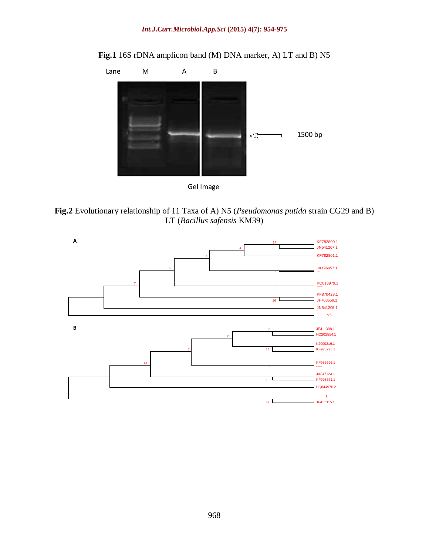

**Fig.1** 16S rDNA amplicon band (M) DNA marker, A) LT and B) N5



**Fig.2** Evolutionary relationship of 11 Taxa of A) N5 (*Pseudomonas putida* strain CG29 and B) LT (*Bacillus safensis* KM39)

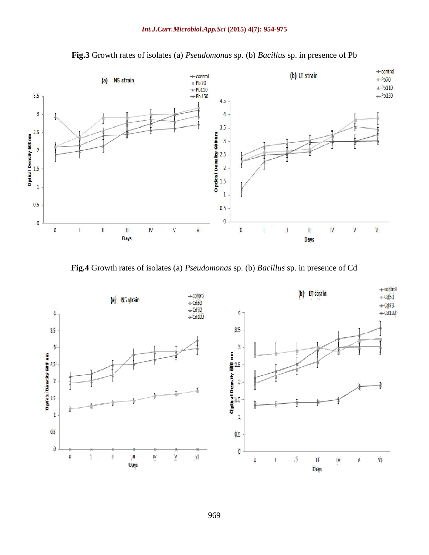

**Fig.3** Growth rates of isolates (a) *Pseudomonas* sp. (b) *Bacillus* sp. in presence of Pb

**Fig.4** Growth rates of isolates (a) *Pseudomonas* sp. (b) *Bacillus* sp. in presence of Cd

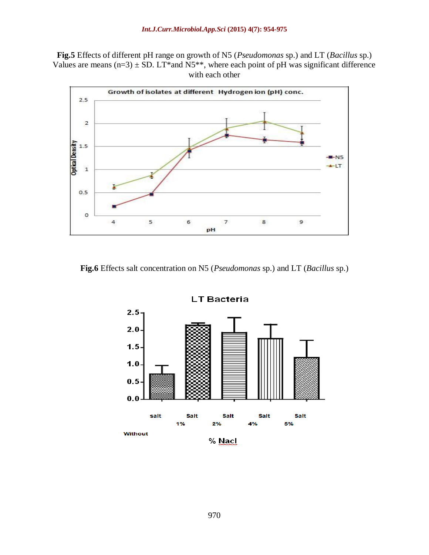**Fig.5** Effects of different pH range on growth of N5 (*Pseudomonas* sp.) and LT (*Bacillus* sp.) Values are means  $(n=3) \pm SD$ . LT\*and N5\*\*, where each point of pH was significant difference with each other



**Fig.6** Effects salt concentration on N5 (*Pseudomonas* sp.) and LT (*Bacillus* sp.)

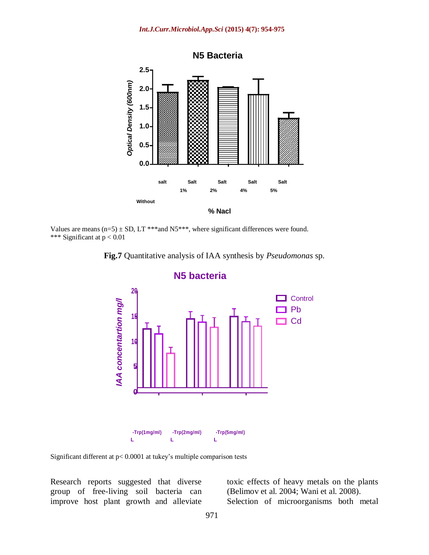*Int.J.Curr.Microbiol.App.Sci* **(2015) 4(7): 954-975**



Values are means  $(n=5) \pm SD$ , LT \*\*\*and N5\*\*\*, where significant differences were found. \*\*\* Significant at p < 0.01





#### **N5 bacteria**

Significant different at p< 0.0001 at tukey's multiple comparison tests

Research reports suggested that diverse group of free-living soil bacteria can improve host plant growth and alleviate toxic effects of heavy metals on the plants (Belimov et al. 2004; Wani et al. 2008). Selection of microorganisms both metal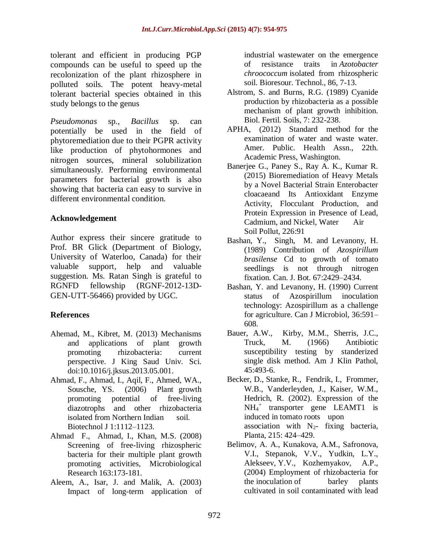tolerant and efficient in producing PGP compounds can be useful to speed up the recolonization of the plant rhizosphere in polluted soils. The potent heavy-metal tolerant bacterial species obtained in this study belongs to the genus

*Pseudomonas* sp., *Bacillus* sp. can potentially be used in the field of phytoremediation due to their PGPR activity like production of phytohormones and nitrogen sources, mineral solubilization simultaneously. Performing environmental parameters for bacterial growth is also showing that bacteria can easy to survive in different environmental condition.

### **Acknowledgement**

Author express their sincere gratitude to Prof. BR Glick (Department of Biology, University of Waterloo, Canada) for their valuable support, help and valuable suggestion. Ms. Ratan Singh is grateful to RGNFD fellowship (RGNF-2012-13D-GEN-UTT-56466) provided by UGC.

# **References**

- Ahemad, M., Kibret, M. (2013) Mechanisms and applications of plant growth promoting rhizobacteria: current perspective. J King Saud Univ. Sci. doi:10.1016/j.jksus.2013.05.001.
- Ahmad, F., Ahmad, I., Aqil, F., Ahmed, WA., Sousche, YS. (2006) Plant growth promoting potential of free-living diazotrophs and other rhizobacteria isolated from Northern Indian soil. Biotechnol J 1:1112–1123.
- Ahmad F., Ahmad, I., Khan, M.S. (2008) Screening of free-living rhizospheric bacteria for their multiple plant growth promoting activities, Microbiological Research 163:173-181.
- Aleem, A., Isar, J. and Malik, A. (2003) Impact of long-term application of

industrial wastewater on the emergence of resistance traits in *Azotobacter chroococcum* isolated from rhizospheric soil. Bioresour. Technol., 86, 7-13.

- Alstrom, S. and Burns, R.G. (1989) Cyanide production by rhizobacteria as a possible mechanism of plant growth inhibition. Biol. Fertil. Soils, 7: 232-238.
- APHA, (2012) Standard method for the examination of water and waste water. Amer. Public. Health Assn., 22th. Academic Press, Washington.
- Banerjee G., Paney S., Ray A. K., Kumar R. (2015) Bioremediation of Heavy Metals by a Novel Bacterial Strain Enterobacter cloacaeand Its Antioxidant Enzyme Activity, Flocculant Production, and Protein Expression in Presence of Lead, Cadmium, and Nickel, Water Air Soil Pollut, 226:91
- Bashan, Y., Singh, M. and Levanony, H. (1989) Contribution of *Azospirillum brasilense* Cd to growth of tomato seedlings is not through nitrogen fixation. Can. J. Bot. 67:2429–2434.
- Bashan, Y. and Levanony, H. (1990) Current status of Azospirillum inoculation technology: Azospirillum as a challenge for agriculture. Can J Microbiol, 36:591– 608.
- Bauer, A.W., Kirby, M.M., Sherris, J.C., Truck, M. (1966) Antibiotic susceptibility testing by standerized single disk method. Am J Klin Pathol,  $45.493 - 6$
- Becker, D., Stanke, R., Fendrik, I., Frommer, W.B., Vanderleyden, J., Kaiser, W.M., Hedrich, R. (2002). Expression of the NH<sup>4</sup> + transporter gene LEAMT1 is induced in tomato roots upon association with  $N_{2}$ - fixing bacteria, Planta, 215: 424–429.
- Belimov, A. A., Kunakova, A.M., Safronova, V.I., Stepanok, V.V., Yudkin, L.Y., Alekseev, Y.V., Kozhemyakov, A.P., (2004) Employment of rhizobacteria for the inoculation of barley plants cultivated in soil contaminated with lead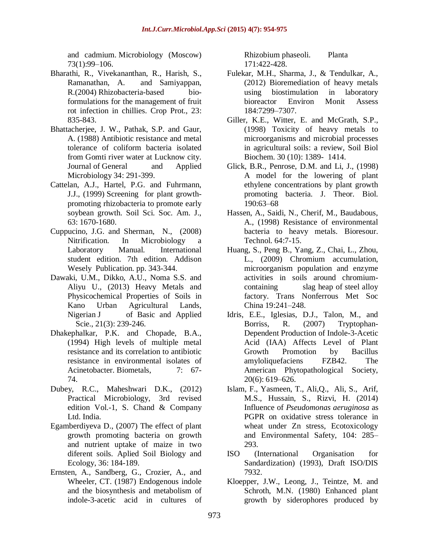and cadmium. Microbiology (Moscow) 73(1):99–106.

- Bharathi, R., Vivekananthan, R., Harish, S., Ramanathan, A. and Samiyappan, R.(2004) Rhizobacteria-based bioformulations for the management of fruit rot infection in chillies. Crop Prot., 23: 835-843.
- Bhattacherjee, J. W., Pathak, S.P. and Gaur, A. (1988) Antibiotic resistance and metal tolerance of coliform bacteria isolated from Gomti river water at Lucknow city. Journal of General and Applied Microbiology 34: 291-399.
- Cattelan, A.J., Hartel, P.G. and Fuhrmann, J.J., (1999) Screening for plant growthpromoting rhizobacteria to promote early soybean growth. Soil Sci. Soc. Am. J., 63: 1670-1680.
- Cuppucino, J.G. and Sherman, N., (2008) Nitrification. In Microbiology a Laboratory Manual. International student edition. 7th edition. Addison Wesely Publication. pp. 343-344.
- Dawaki, U.M., Dikko, A.U., Noma S.S. and Aliyu U., (2013) Heavy Metals and Physicochemical Properties of Soils in Kano Urban Agricultural Lands, Nigerian J of Basic and Applied Scie., 21(3): 239-246.
- Dhakephalkar, P.K. and Chopade, B.A., (1994) High levels of multiple metal resistance and its correlation to antibiotic resistance in environmental isolates of Acinetobacter. Biometals. 7: 67-74.
- Dubey, R.C., Maheshwari D.K., (2012) Practical Microbiology, 3rd revised edition Vol.-1, S. Chand & Company Ltd. India.
- Egamberdiyeva D., (2007) The effect of plant growth promoting bacteria on growth and nutrient uptake of maize in two diferent soils. Aplied Soil Biology and Ecology, 36: 184-189.
- Ernsten, A., Sandberg, G., Crozier, A., and Wheeler, CT. (1987) Endogenous indole and the biosynthesis and metabolism of indole-3-acetic acid in cultures of

Rhizobium phaseoli. Planta 171:422-428.

- Fulekar, M.H., Sharma, J., & Tendulkar, A., (2012) Bioremediation of heavy metals using biostimulation in laboratory bioreactor Environ Monit Assess 184:7299–7307.
- Giller, K.E., Witter, E. and McGrath, S.P., (1998) Toxicity of heavy metals to microorganisms and microbial processes in agricultural soils: a review, Soil Biol Biochem. 30 (10): 1389- 1414.
- Glick, B.R., Penrose, D.M. and Li, J., (1998) A model for the lowering of plant ethylene concentrations by plant growth promoting bacteria. J. Theor. Biol. 190:63–68
- Hassen, A., Saidi, N., Cherif, M., Baudabous, A., (1998) Resistance of environmental bacteria to heavy metals. Bioresour. Technol. 64:7-15.
- Huang, S., Peng B., Yang, Z., Chai, L., Zhou, L., (2009) Chromium accumulation, microorganism population and enzyme activities in soils around chromiumcontaining slag heap of steel alloy factory. Trans Nonferrous Met Soc China 19:241–248.
- Idris, E.E., Iglesias, D.J., Talon, M., and Borriss, R. (2007) Tryptophan-Dependent Production of Indole-3-Acetic Acid (IAA) Affects Level of Plant Growth Promotion by Bacillus amyloliquefaciens FZB42. The American Phytopathological Society, 20(6): 619–626.
- Islam, F., Yasmeen, T., Ali,Q., Ali, S., Arif, M.S., Hussain, S., Rizvi, H. (2014) Influence of *Pseudomonas aeruginosa* as PGPR on oxidative stress tolerance in wheat under Zn stress, Ecotoxicology and Environmental Safety, 104: 285– 293.
- ISO (International Organisation for Sandardization) (1993), Draft ISO/DIS 7932.
- Kloepper, J.W., Leong, J., Teintze, M. and Schroth, M.N. (1980) Enhanced plant growth by siderophores produced by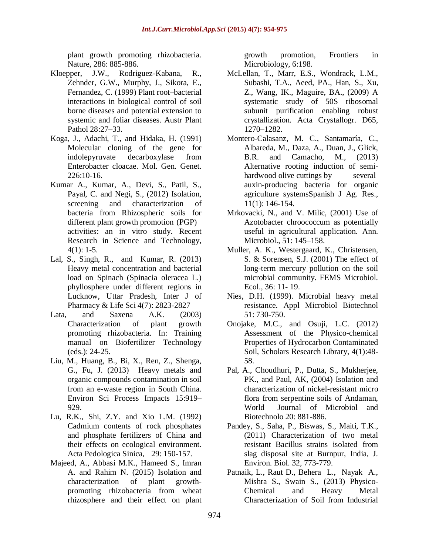plant growth promoting rhizobacteria. Nature, 286: 885-886.

- Kloepper, J.W., Rodriguez-Kabana, R., Zehnder, G.W., Murphy, J., Sikora, E., Fernandez, C. (1999) Plant root–bacterial interactions in biological control of soil borne diseases and potential extension to systemic and foliar diseases. Austr Plant Pathol 28:27–33.
- Koga, J., Adachi, T., and Hidaka, H. (1991) Molecular cloning of the gene for indolepyruvate decarboxylase from Enterobacter cloacae. Mol. Gen. Genet.  $226:10-16.$
- Kumar A., Kumar, A., Devi, S., Patil, S., Payal, C. and Negi, S., (2012) Isolation, screening and characterization of bacteria from Rhizospheric soils for different plant growth promotion (PGP) activities: an in vitro study. Recent Research in Science and Technology,  $4(1): 1-5.$
- Lal, S., Singh, R., and Kumar, R. (2013) Heavy metal concentration and bacterial load on Spinach (Spinacia oleracea L.) phyllosphere under different regions in Lucknow, Uttar Pradesh, Inter J of Pharmacy & Life Sci 4(7): 2823-2827
- Lata, and Saxena A.K. (2003) Characterization of plant growth promoting rhizobacteria. In: Training manual on Biofertilizer Technology (eds.): 24-25.
- Liu, M., Huang, B., Bi, X., Ren, Z., Shenga, G., Fu, J. (2013) Heavy metals and organic compounds contamination in soil from an e-waste region in South China. Environ Sci Process Impacts 15:919– 929.
- Lu, R.K., Shi, Z.Y. and Xio L.M. (1992) Cadmium contents of rock phosphates and phosphate fertilizers of China and their effects on ecological environment. Acta Pedologica Sinica, 29: 150-157.
- Majeed, A., Abbasi M.K., Hameed S., Imran A. and Rahim N. (2015) Isolation and characterization of plant growthpromoting rhizobacteria from wheat rhizosphere and their effect on plant

growth promotion, Frontiers in Microbiology, 6:198.

- McLellan, T., Marr, E.S., Wondrack, L.M., Subashi, T.A., Aeed, PA., Han, S., Xu, Z., Wang, IK., Maguire, BA., (2009) A systematic study of 50S ribosomal subunit purification enabling robust crystallization. Acta Crystallogr. D65, 1270–1282.
- Montero-Calasanz, M. C., Santamaría, C., Albareda, M., Daza, A., Duan, J., Glick, B.R. and Camacho, M., (2013) Alternative rooting induction of semihardwood olive cuttings by several auxin-producing bacteria for organic agriculture systemsSpanish J Ag. Res., 11(1): 146-154.
- Mrkovacki, N., and V. Milic, (2001) Use of Azotobacter chroococcum as potentially useful in agricultural application. Ann. Microbiol., 51: 145–158.
- Muller, A. K., Westergaard, K., Christensen, S. & Sorensen, S.J. (2001) The effect of long-term mercury pollution on the soil microbial community. FEMS Microbiol. Ecol., 36: 11- 19.
- Nies, D.H. (1999). Microbial heavy metal resistance. Appl Microbiol Biotechnol 51: 730-750.
- Onojake, M.C., and Osuji, L.C. (2012) Assessment of the Physico-chemical Properties of Hydrocarbon Contaminated Soil, Scholars Research Library, 4(1):48- 58.
- Pal, A., Choudhuri, P., Dutta, S., Mukherjee, PK., and Paul, AK, (2004) Isolation and characterization of nickel-resistant micro flora from serpentine soils of Andaman, World Journal of Microbiol and Biotechnolo 20: 881-886.
- Pandey, S., Saha, P., Biswas, S., Maiti, T.K., (2011) Characterization of two metal resistant Bacillus strains isolated from slag disposal site at Burnpur, India, J. Environ. Biol. 32, 773-779.
- Patnaik, L., Raut D., Behera L., Nayak A., Mishra S., Swain S., (2013) Physico-Chemical and Heavy Metal Characterization of Soil from Industrial